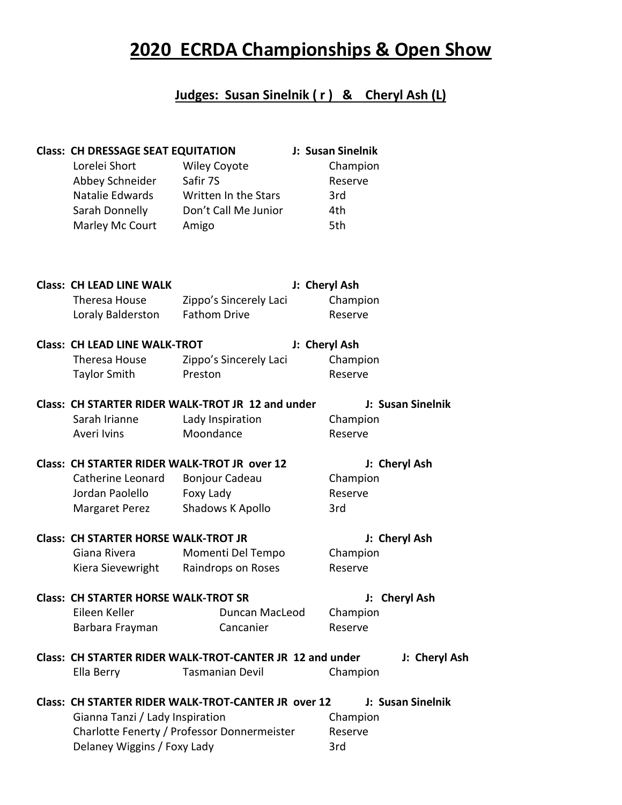## **2020 ECRDA Championships & Open Show**

## **Judges: Susan Sinelnik ( r ) & Cheryl Ash (L)**

| <b>Class: CH DRESSAGE SEAT EQUITATION</b><br>Lorelei Short<br>Abbey Schneider<br>Natalie Edwards<br>Sarah Donnelly<br>Marley Mc Court | <b>Wiley Coyote</b><br>Safir 7S<br>Written In the Stars<br>Don't Call Me Junior<br>Amigo | J: Susan Sinelnik<br>Champion<br>Reserve<br>3rd<br>4th<br>5th |                   |
|---------------------------------------------------------------------------------------------------------------------------------------|------------------------------------------------------------------------------------------|---------------------------------------------------------------|-------------------|
| <b>Class: CH LEAD LINE WALK</b>                                                                                                       |                                                                                          | J: Cheryl Ash                                                 |                   |
| Theresa House                                                                                                                         | Zippo's Sincerely Laci                                                                   | Champion                                                      |                   |
|                                                                                                                                       | <b>Fathom Drive</b>                                                                      |                                                               |                   |
| Loraly Balderston                                                                                                                     |                                                                                          | Reserve                                                       |                   |
| <b>Class: CH LEAD LINE WALK-TROT</b>                                                                                                  |                                                                                          | J: Cheryl Ash                                                 |                   |
| Theresa House                                                                                                                         | Zippo's Sincerely Laci                                                                   | Champion                                                      |                   |
| <b>Taylor Smith</b>                                                                                                                   | Preston                                                                                  | Reserve                                                       |                   |
|                                                                                                                                       |                                                                                          |                                                               |                   |
|                                                                                                                                       | Class: CH STARTER RIDER WALK-TROT JR 12 and under                                        |                                                               | J: Susan Sinelnik |
| Sarah Irianne                                                                                                                         | Lady Inspiration                                                                         | Champion                                                      |                   |
| Averi Ivins                                                                                                                           | Moondance                                                                                | Reserve                                                       |                   |
|                                                                                                                                       | Class: CH STARTER RIDER WALK-TROT JR over 12                                             |                                                               | J: Cheryl Ash     |
| Catherine Leonard                                                                                                                     | Bonjour Cadeau                                                                           | Champion                                                      |                   |
| Jordan Paolello                                                                                                                       |                                                                                          | Reserve                                                       |                   |
|                                                                                                                                       | Foxy Lady                                                                                |                                                               |                   |
| <b>Margaret Perez</b>                                                                                                                 | Shadows K Apollo                                                                         | 3rd                                                           |                   |
| <b>Class: CH STARTER HORSE WALK-TROT JR</b>                                                                                           |                                                                                          | J: Cheryl Ash                                                 |                   |
| Giana Rivera                                                                                                                          | Momenti Del Tempo                                                                        | Champion                                                      |                   |
| Kiera Sievewright                                                                                                                     | Raindrops on Roses                                                                       | Reserve                                                       |                   |
|                                                                                                                                       |                                                                                          |                                                               |                   |
| <b>Class: CH STARTER HORSE WALK-TROT SR</b>                                                                                           |                                                                                          |                                                               | J: Cheryl Ash     |
| Eileen Keller                                                                                                                         | Duncan MacLeod                                                                           | Champion                                                      |                   |
| Barbara Frayman                                                                                                                       | Cancanier                                                                                | Reserve                                                       |                   |
|                                                                                                                                       | Class: CH STARTER RIDER WALK-TROT-CANTER JR 12 and under                                 |                                                               |                   |
|                                                                                                                                       |                                                                                          |                                                               | J: Cheryl Ash     |
| Ella Berry                                                                                                                            | <b>Tasmanian Devil</b>                                                                   | Champion                                                      |                   |
|                                                                                                                                       | Class: CH STARTER RIDER WALK-TROT-CANTER JR over 12                                      |                                                               | J: Susan Sinelnik |
| Gianna Tanzi / Lady Inspiration                                                                                                       |                                                                                          | Champion                                                      |                   |
|                                                                                                                                       | Charlotte Fenerty / Professor Donnermeister                                              | Reserve                                                       |                   |
|                                                                                                                                       |                                                                                          | 3rd                                                           |                   |
| Delaney Wiggins / Foxy Lady                                                                                                           |                                                                                          |                                                               |                   |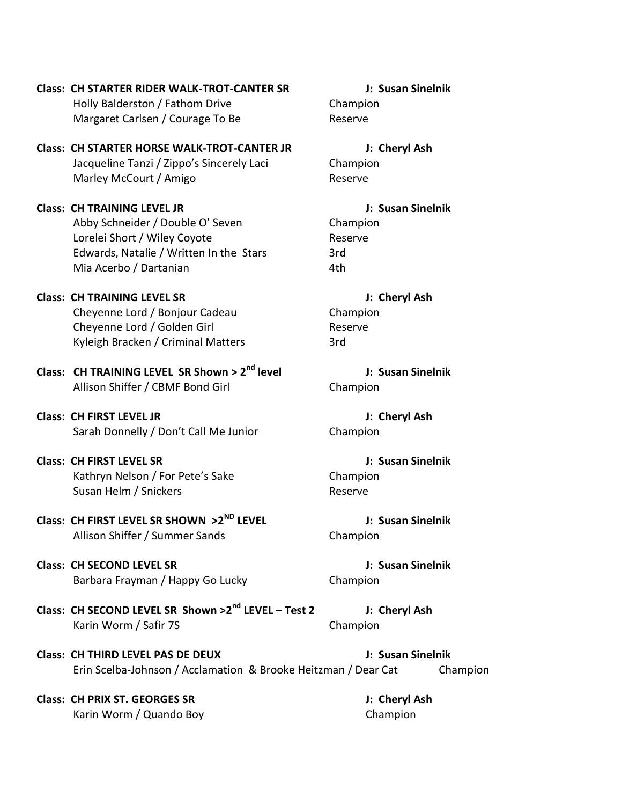**Class: CH STARTER RIDER WALK-TROT-CANTER SR J: Susan Sinelnik** Holly Balderston / Fathom Drive Champion Margaret Carlsen / Courage To Be Reserve

**Class: CH STARTER HORSE WALK-TROT-CANTER JR J: Cheryl Ash** Jacqueline Tanzi / Zippo's Sincerely Laci Champion Marley McCourt / Amigo Reserve

**Class: CH TRAINING LEVEL JR J: Susan Sinelnik** Abby Schneider / Double O' Seven Champion Lorelei Short / Wiley Coyote **Reserve** Reserve Edwards, Natalie / Written In the Stars 3rd Mia Acerbo / Dartanian 4th

**Class: CH TRAINING LEVEL SR J: Cheryl Ash** Cheyenne Lord / Bonjour Cadeau Champion Cheyenne Lord / Golden Girl **Reserve** Reserve Kyleigh Bracken / Criminal Matters 3rd

**Class: CH TRAINING LEVEL SR Shown > 2nd level J: Susan Sinelnik** Allison Shiffer / CBMF Bond Girl Champion

**Class: CH FIRST LEVEL JR J: Cheryl Ash** Sarah Donnelly / Don't Call Me Junior Champion

**Class: CH FIRST LEVEL SR J: Susan Sinelnik** Kathryn Nelson / For Pete's Sake Champion Susan Helm / Snickers **Reserve** Reserve

**Class: CH FIRST LEVEL SR SHOWN >2ND LEVEL J: Susan Sinelnik** Allison Shiffer / Summer Sands Champion

**Class: CH SECOND LEVEL SR J: Susan Sinelnik** Barbara Frayman / Happy Go Lucky Champion

**Class: CH SECOND LEVEL SR Shown >2nd LEVEL – Test 2 J: Cheryl Ash** Karin Worm / Safir 7S Champion

**Class: CH THIRD LEVEL PAS DE DEUX J: Susan Sinelnik** Erin Scelba-Johnson / Acclamation & Brooke Heitzman / Dear Cat Champion

**Class: CH PRIX ST. GEORGES SR J: Cheryl Ash** Karin Worm / Quando Boy Champion